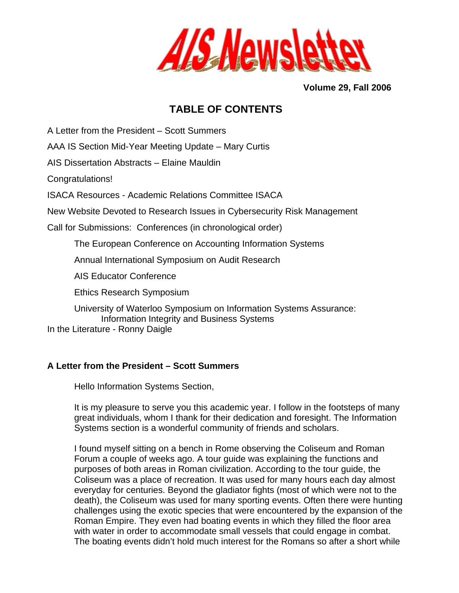

**Volume 29, Fall 2006** 

# **TABLE OF CONTENTS**

A Letter from the President – Scott Summers

[AAA IS Section Mid-Year Meeting Update – Mary Curtis](#page-2-0) 

[AIS Dissertation Abstracts – Elaine Mauldin](#page-3-0) 

[Congratulations!](#page-3-0) 

[ISACA Resources - Academic Relations Committee ISACA](#page-4-0) 

[New Website Devoted to Research Issues in Cybersecurity Risk Management](#page-5-0) 

Call for Submissions: Conferences (in chronological order)

[The European Conference on Accounting Information Systems](#page-5-0) 

[Annual International Symposium on Audit Research](#page-6-0) 

[AIS Educator Conference](#page-7-0) 

[Ethics Research Symposium](#page-8-0) 

[University of Waterloo Symposium on Information Systems Assurance:](#page-9-0)  Information Integrity and Business Systems [In the Literature - Ronny Daigle](#page-10-0) 

# **A Letter from the President – Scott Summers**

Hello Information Systems Section,

It is my pleasure to serve you this academic year. I follow in the footsteps of many great individuals, whom I thank for their dedication and foresight. The Information Systems section is a wonderful community of friends and scholars.

I found myself sitting on a bench in Rome observing the Coliseum and Roman Forum a couple of weeks ago. A tour guide was explaining the functions and purposes of both areas in Roman civilization. According to the tour guide, the Coliseum was a place of recreation. It was used for many hours each day almost everyday for centuries. Beyond the gladiator fights (most of which were not to the death), the Coliseum was used for many sporting events. Often there were hunting challenges using the exotic species that were encountered by the expansion of the Roman Empire. They even had boating events in which they filled the floor area with water in order to accommodate small vessels that could engage in combat. The boating events didn't hold much interest for the Romans so after a short while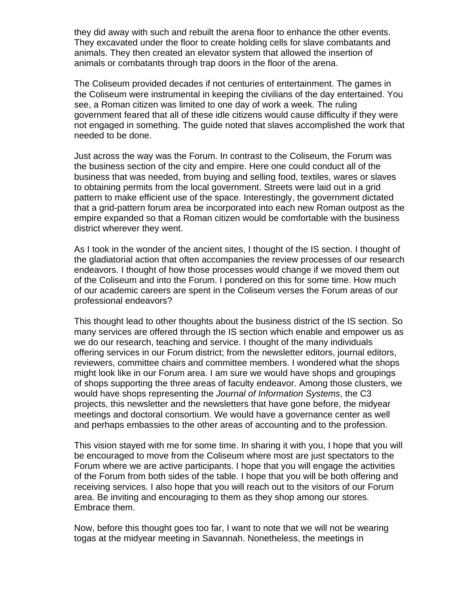they did away with such and rebuilt the arena floor to enhance the other events. They excavated under the floor to create holding cells for slave combatants and animals. They then created an elevator system that allowed the insertion of animals or combatants through trap doors in the floor of the arena.

The Coliseum provided decades if not centuries of entertainment. The games in the Coliseum were instrumental in keeping the civilians of the day entertained. You see, a Roman citizen was limited to one day of work a week. The ruling government feared that all of these idle citizens would cause difficulty if they were not engaged in something. The guide noted that slaves accomplished the work that needed to be done.

Just across the way was the Forum. In contrast to the Coliseum, the Forum was the business section of the city and empire. Here one could conduct all of the business that was needed, from buying and selling food, textiles, wares or slaves to obtaining permits from the local government. Streets were laid out in a grid pattern to make efficient use of the space. Interestingly, the government dictated that a grid-pattern forum area be incorporated into each new Roman outpost as the empire expanded so that a Roman citizen would be comfortable with the business district wherever they went.

As I took in the wonder of the ancient sites, I thought of the IS section. I thought of the gladiatorial action that often accompanies the review processes of our research endeavors. I thought of how those processes would change if we moved them out of the Coliseum and into the Forum. I pondered on this for some time. How much of our academic careers are spent in the Coliseum verses the Forum areas of our professional endeavors?

This thought lead to other thoughts about the business district of the IS section. So many services are offered through the IS section which enable and empower us as we do our research, teaching and service. I thought of the many individuals offering services in our Forum district; from the newsletter editors, journal editors, reviewers, committee chairs and committee members. I wondered what the shops might look like in our Forum area. I am sure we would have shops and groupings of shops supporting the three areas of faculty endeavor. Among those clusters, we would have shops representing the *Journal of Information Systems*, the C3 projects, this newsletter and the newsletters that have gone before, the midyear meetings and doctoral consortium. We would have a governance center as well and perhaps embassies to the other areas of accounting and to the profession.

This vision stayed with me for some time. In sharing it with you, I hope that you will be encouraged to move from the Coliseum where most are just spectators to the Forum where we are active participants. I hope that you will engage the activities of the Forum from both sides of the table. I hope that you will be both offering and receiving services. I also hope that you will reach out to the visitors of our Forum area. Be inviting and encouraging to them as they shop among our stores. Embrace them.

Now, before this thought goes too far, I want to note that we will not be wearing togas at the midyear meeting in Savannah. Nonetheless, the meetings in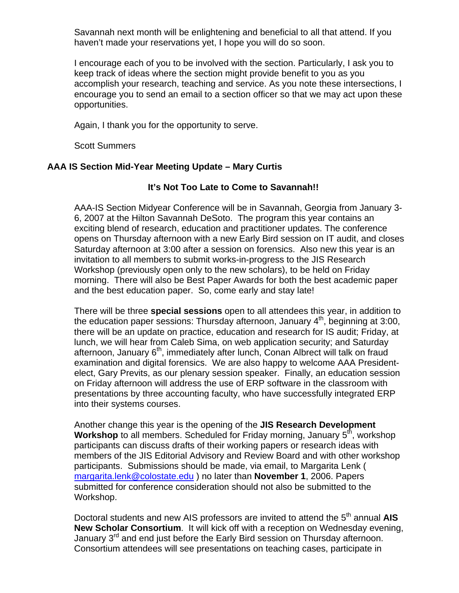<span id="page-2-0"></span>Savannah next month will be enlightening and beneficial to all that attend. If you haven't made your reservations yet, I hope you will do so soon.

I encourage each of you to be involved with the section. Particularly, I ask you to keep track of ideas where the section might provide benefit to you as you accomplish your research, teaching and service. As you note these intersections, I encourage you to send an email to a section officer so that we may act upon these opportunities.

Again, I thank you for the opportunity to serve.

Scott Summers

### **AAA IS Section Mid-Year Meeting Update – Mary Curtis**

# **It's Not Too Late to Come to Savannah!!**

AAA-IS Section Midyear Conference will be in Savannah, Georgia from January 3- 6, 2007 at the Hilton Savannah DeSoto. The program this year contains an exciting blend of research, education and practitioner updates. The conference opens on Thursday afternoon with a new Early Bird session on IT audit, and closes Saturday afternoon at 3:00 after a session on forensics. Also new this year is an invitation to all members to submit works-in-progress to the JIS Research Workshop (previously open only to the new scholars), to be held on Friday morning. There will also be Best Paper Awards for both the best academic paper and the best education paper. So, come early and stay late!

There will be three **special sessions** open to all attendees this year, in addition to the education paper sessions: Thursday afternoon, January  $4<sup>th</sup>$ , beginning at 3:00, there will be an update on practice, education and research for IS audit; Friday, at lunch, we will hear from Caleb Sima, on web application security; and Saturday afternoon, January 6<sup>th</sup>, immediately after lunch, Conan Albrect will talk on fraud examination and digital forensics. We are also happy to welcome AAA Presidentelect, Gary Previts, as our plenary session speaker. Finally, an education session on Friday afternoon will address the use of ERP software in the classroom with presentations by three accounting faculty, who have successfully integrated ERP into their systems courses.

Another change this year is the opening of the **JIS Research Development Workshop** to all members. Scheduled for Friday morning, January 5<sup>th</sup>, workshop participants can discuss drafts of their working papers or research ideas with members of the JIS Editorial Advisory and Review Board and with other workshop participants. Submissions should be made, via email, to Margarita Lenk ( [margarita.lenk@colostate.edu](mailto:margarita.lenk@colostate.edu) ) no later than **November 1**, 2006. Papers submitted for conference consideration should not also be submitted to the Workshop.

Doctoral students and new AIS professors are invited to attend the 5th annual **AIS New Scholar Consortium**. It will kick off with a reception on Wednesday evening, January 3<sup>rd</sup> and end just before the Early Bird session on Thursday afternoon. Consortium attendees will see presentations on teaching cases, participate in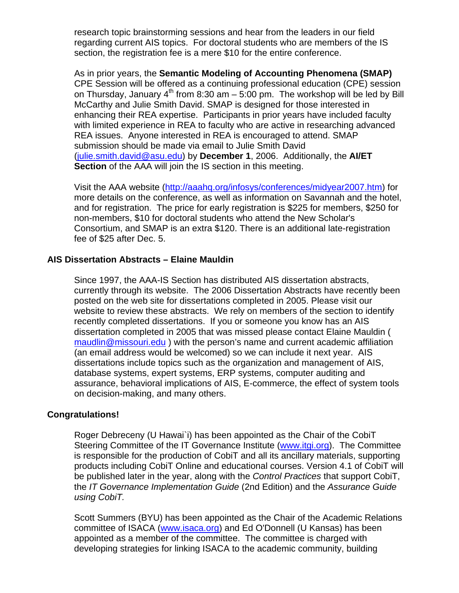<span id="page-3-0"></span>research topic brainstorming sessions and hear from the leaders in our field regarding current AIS topics. For doctoral students who are members of the IS section, the registration fee is a mere \$10 for the entire conference.

As in prior years, the **Semantic Modeling of Accounting Phenomena (SMAP)** CPE Session will be offered as a continuing professional education (CPE) session on Thursday, January  $4^{th}$  from 8:30 am  $-$  5:00 pm. The workshop will be led by Bill McCarthy and Julie Smith David. SMAP is designed for those interested in enhancing their REA expertise. Participants in prior years have included faculty with limited experience in REA to faculty who are active in researching advanced REA issues. Anyone interested in REA is encouraged to attend. SMAP submission should be made via email to Julie Smith David ([julie.smith.david@asu.edu](mailto:julie.smith.david@asu.edu)) by **December 1**, 2006. Additionally, the **AI/ET Section** of the AAA will join the IS section in this meeting.

Visit the AAA website [\(http://aaahq.org/infosys/conferences/midyear2007.htm\)](http://aaahq.org/infosys/conferences/midyear2007.htm) for more details on the conference, as well as information on Savannah and the hotel, and for registration. The price for early registration is \$225 for members, \$250 for non-members, \$10 for doctoral students who attend the New Scholar's Consortium, and SMAP is an extra \$120. There is an additional late-registration fee of \$25 after Dec. 5.

### **AIS Dissertation Abstracts – Elaine Mauldin**

Since 1997, the AAA-IS Section has distributed AIS dissertation abstracts, currently through its website. The 2006 Dissertation Abstracts have recently been posted on the web site for dissertations completed in 2005. Please visit our website to review these abstracts. We rely on members of the section to identify recently completed dissertations. If you or someone you know has an AIS dissertation completed in 2005 that was missed please contact Elaine Mauldin ( [maudlin@missouri.edu](mailto:maudlin@missouri.edu) ) with the person's name and current academic affiliation (an email address would be welcomed) so we can include it next year. AIS dissertations include topics such as the organization and management of AIS, database systems, expert systems, ERP systems, computer auditing and assurance, behavioral implications of AIS, E-commerce, the effect of system tools on decision-making, and many others.

### **Congratulations!**

Roger Debreceny (U Hawai`i) has been appointed as the Chair of the CobiT Steering Committee of the IT Governance Institute ([www.itgi.org](http://www.itgi.org/)). The Committee is responsible for the production of CobiT and all its ancillary materials, supporting products including CobiT Online and educational courses. Version 4.1 of CobiT will be published later in the year, along with the *Control Practices* that support CobiT, the *IT Governance Implementation Guide* (2nd Edition) and the *Assurance Guide using CobiT.*

Scott Summers (BYU) has been appointed as the Chair of the Academic Relations committee of ISACA [\(www.isaca.org](http://www.isaca.org/)) and Ed O'Donnell (U Kansas) has been appointed as a member of the committee. The committee is charged with developing strategies for linking ISACA to the academic community, building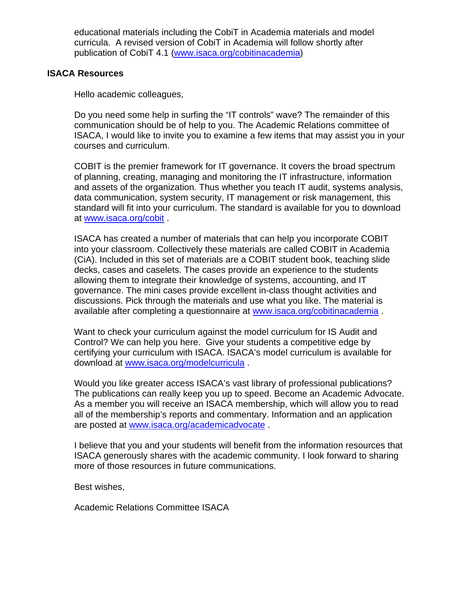<span id="page-4-0"></span>educational materials including the CobiT in Academia materials and model curricula. A revised version of CobiT in Academia will follow shortly after publication of CobiT 4.1 [\(www.isaca.org/cobitinacademia](http://www.isaca.org/cobitinacademia))

#### **ISACA Resources**

Hello academic colleagues,

Do you need some help in surfing the "IT controls" wave? The remainder of this communication should be of help to you. The Academic Relations committee of ISACA, I would like to invite you to examine a few items that may assist you in your courses and curriculum.

COBIT is the premier framework for IT governance. It covers the broad spectrum of planning, creating, managing and monitoring the IT infrastructure, information and assets of the organization. Thus whether you teach IT audit, systems analysis, data communication, system security, IT management or risk management, this standard will fit into your curriculum. The standard is available for you to download at [www.isaca.org/cobit](http://www.isaca.org/cobit) .

ISACA has created a number of materials that can help you incorporate COBIT into your classroom. Collectively these materials are called COBIT in Academia (CiA). Included in this set of materials are a COBIT student book, teaching slide decks, cases and caselets. The cases provide an experience to the students allowing them to integrate their knowledge of systems, accounting, and IT governance. The mini cases provide excellent in-class thought activities and discussions. Pick through the materials and use what you like. The material is available after completing a questionnaire at [www.isaca.org/cobitinacademia](http://www.isaca.org/cobitinacademia) .

Want to check your curriculum against the model curriculum for IS Audit and Control? We can help you here. Give your students a competitive edge by certifying your curriculum with ISACA. ISACA's model curriculum is available for download at [www.isaca.org/modelcurricula](http://www.isaca.org/modelcurricula) .

Would you like greater access ISACA's vast library of professional publications? The publications can really keep you up to speed. Become an Academic Advocate. As a member you will receive an ISACA membership, which will allow you to read all of the membership's reports and commentary. Information and an application are posted at [www.isaca.org/academicadvocate](http://www.isaca.org/academicadvocate) .

I believe that you and your students will benefit from the information resources that ISACA generously shares with the academic community. I look forward to sharing more of those resources in future communications.

Best wishes,

Academic Relations Committee ISACA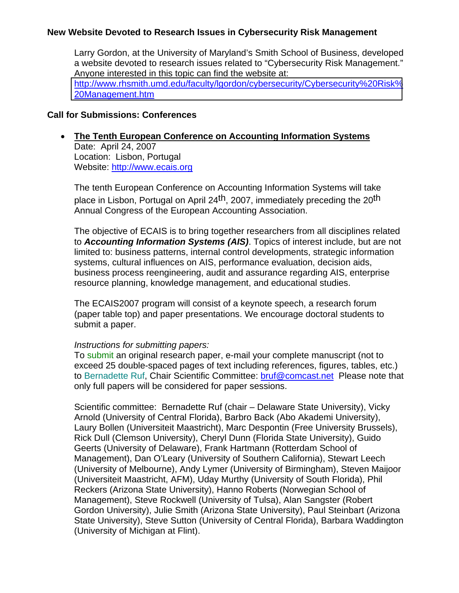## <span id="page-5-0"></span>**New Website Devoted to Research Issues in Cybersecurity Risk Management**

Larry Gordon, at the University of Maryland's Smith School of Business, developed a website devoted to research issues related to "Cybersecurity Risk Management." Anyone interested in this topic can find the website at: [http://www.rhsmith.umd.edu/faculty/lgordon/cybersecurity/Cybersecurity%20Risk%](http://www.rhsmith.umd.edu/faculty/lgordon/cybersecurity/Cybersecurity Risk Management.htm) [20Management.htm](http://www.rhsmith.umd.edu/faculty/lgordon/cybersecurity/Cybersecurity Risk Management.htm) 

#### **Call for Submissions: Conferences**

• **The Tenth European Conference on Accounting Information Systems** Date: April 24, 2007 Location: Lisbon, Portugal Website: [http://www.ecais.org](http://www.ecais.org/)

The tenth European Conference on Accounting Information Systems will take place in Lisbon, Portugal on April 24<sup>th</sup>, 2007, immediately preceding the 20<sup>th</sup> Annual Congress of the European Accounting Association.

The objective of ECAIS is to bring together researchers from all disciplines related to *Accounting Information Systems (AIS)*. Topics of interest include, but are not limited to: business patterns, internal control developments, strategic information systems, cultural influences on AIS, performance evaluation, decision aids, business process reengineering, audit and assurance regarding AIS, enterprise resource planning, knowledge management, and educational studies.

The ECAIS2007 program will consist of a keynote speech, a research forum (paper table top) and paper presentations. We encourage doctoral students to submit a paper.

#### *Instructions for submitting papers:*

To submit an original research paper, e-mail your complete manuscript (not to exceed 25 double-spaced pages of text including references, figures, tables, etc.) to Bernadette Ruf, Chair Scientific Committee: [bruf@comcast.net](mailto:bruf@comcast.net) Please note that only full papers will be considered for paper sessions.

Scientific committee: Bernadette Ruf (chair – Delaware State University), Vicky Arnold (University of Central Florida), Barbro Back (Abo Akademi University), Laury Bollen (Universiteit Maastricht), Marc Despontin (Free University Brussels), Rick Dull (Clemson University), Cheryl Dunn (Florida State University), Guido Geerts (University of Delaware), Frank Hartmann (Rotterdam School of Management), Dan O'Leary (University of Southern California), Stewart Leech (University of Melbourne), Andy Lymer (University of Birmingham), Steven Maijoor (Universiteit Maastricht, AFM), Uday Murthy (University of South Florida), Phil Reckers (Arizona State University), Hanno Roberts (Norwegian School of Management), Steve Rockwell (University of Tulsa), Alan Sangster (Robert Gordon University), Julie Smith (Arizona State University), Paul Steinbart (Arizona State University), Steve Sutton (University of Central Florida), Barbara Waddington (University of Michigan at Flint).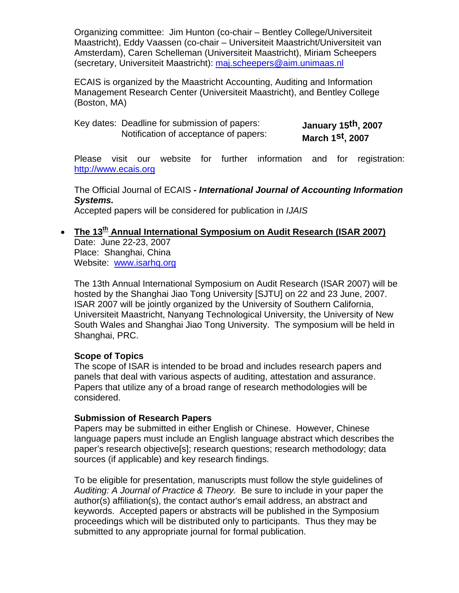<span id="page-6-0"></span>Organizing committee: Jim Hunton (co-chair – Bentley College/Universiteit Maastricht), Eddy Vaassen (co-chair – Universiteit Maastricht/Universiteit van Amsterdam), Caren Schelleman (Universiteit Maastricht), Miriam Scheepers (secretary, Universiteit Maastricht): [maj.scheepers@aim.unimaas.nl](mailto:maj.scheepers@aim.unimaas.nl) 

ECAIS is organized by the Maastricht Accounting, Auditing and Information Management Research Center (Universiteit Maastricht), and Bentley College (Boston, MA)

Key dates: Deadline for submission of papers: Deadline for submission of papers:<br>
Notification of acceptance of papers:<br> **March 4St 2007 March 1st, 2007** 

Please visit our website for further information and for registration: [http://www.ecais.org](http://www.ecais.org/)

The Official Journal of ECAIS **-** *International Journal of Accounting Information Systems.*

Accepted papers will be considered for publication in *IJAIS*

# • The 13<sup>th</sup> Annual International Symposium on Audit Research (ISAR 2007)

Date: June 22-23, 2007 Place: Shanghai, China Website: [www.isarhq.org](http://www.isarhq.org/)

The 13th Annual International Symposium on Audit Research (ISAR 2007) will be hosted by the Shanghai Jiao Tong University [SJTU] on 22 and 23 June, 2007. ISAR 2007 will be jointly organized by the University of Southern California, Universiteit Maastricht, Nanyang Technological University, the University of New South Wales and Shanghai Jiao Tong University. The symposium will be held in Shanghai, PRC.

### **Scope of Topics**

The scope of ISAR is intended to be broad and includes research papers and panels that deal with various aspects of auditing, attestation and assurance. Papers that utilize any of a broad range of research methodologies will be considered.

### **Submission of Research Papers**

Papers may be submitted in either English or Chinese. However, Chinese language papers must include an English language abstract which describes the paper's research objective[s]; research questions; research methodology; data sources (if applicable) and key research findings.

To be eligible for presentation, manuscripts must follow the style guidelines of *Auditing: A Journal of Practice & Theory.* Be sure to include in your paper the author(s) affiliation(s), the contact author's email address, an abstract and keywords. Accepted papers or abstracts will be published in the Symposium proceedings which will be distributed only to participants. Thus they may be submitted to any appropriate journal for formal publication.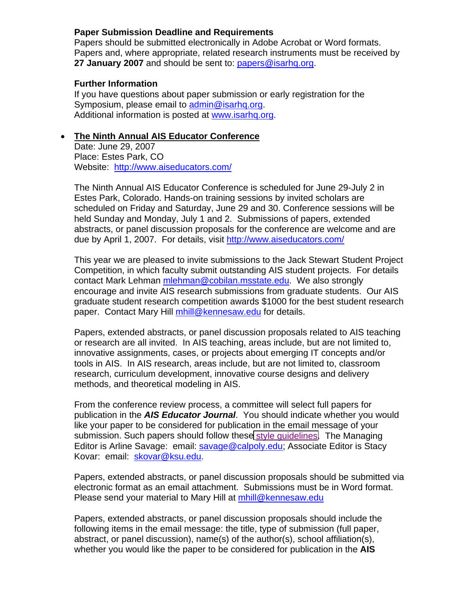### <span id="page-7-0"></span>**Paper Submission Deadline and Requirements**

Papers should be submitted electronically in Adobe Acrobat or Word formats. Papers and, where appropriate, related research instruments must be received by **27 January 2007** and should be sent to: [papers@isarhq.org.](mailto:papers@isarhq.org)

## **Further Information**

If you have questions about paper submission or early registration for the Symposium, please email to [admin@isarhq.org.](mailto:admin@isarhq.org) Additional information is posted at [www.isarhq.org](http://www.isarhq.org/).

# • **The Ninth Annual AIS Educator Conference**

Date: June 29, 2007 Place: Estes Park, CO Website: <http://www.aiseducators.com/>

The Ninth Annual AIS Educator Conference is scheduled for June 29-July 2 in Estes Park, Colorado. Hands-on training sessions by invited scholars are scheduled on Friday and Saturday, June 29 and 30. Conference sessions will be held Sunday and Monday, July 1 and 2. Submissions of papers, extended abstracts, or panel discussion proposals for the conference are welcome and are due by April 1, 2007. For details, visit<http://www.aiseducators.com/>

This year we are pleased to invite submissions to the Jack Stewart Student Project Competition, in which faculty submit outstanding AIS student projects. For details contact Mark Lehman [mlehman@cobilan.msstate.edu.](mailto:mlehman@cobilan.msstate.edu) We also strongly encourage and invite AIS research submissions from graduate students. Our AIS graduate student research competition awards \$1000 for the best student research paper. Contact Mary Hill [mhill@kennesaw.edu](mailto:mhill@kennesaw.edu) for details.

Papers, extended abstracts, or panel discussion proposals related to AIS teaching or research are all invited. In AIS teaching, areas include, but are not limited to, innovative assignments, cases, or projects about emerging IT concepts and/or tools in AIS. In AIS research, areas include, but are not limited to, classroom research, curriculum development, innovative course designs and delivery methods, and theoretical modeling in AIS.

From the conference review process, a committee will select full papers for publication in the *AIS Educator Journal*. You should indicate whether you would like your paper to be considered for publication in the email message of your submission. Such papers should follow thes[e style guidelines.](http://www.aiseducators.com/ais-conference-call-for-papers.htm) The Managing Editor is Arline Savage: email: [savage@calpoly.edu](mailto:savage@calpoly.edu); Associate Editor is Stacy Kovar: email: [skovar@ksu.edu.](mailto:skovar@ksu.edu)

Papers, extended abstracts, or panel discussion proposals should be submitted via electronic format as an email attachment. Submissions must be in Word format. Please send your material to Mary Hill at [mhill@kennesaw.edu](mailto:mhill@kennesaw.edu)

Papers, extended abstracts, or panel discussion proposals should include the following items in the email message: the title, type of submission (full paper, abstract, or panel discussion), name(s) of the author(s), school affiliation(s), whether you would like the paper to be considered for publication in the **AIS**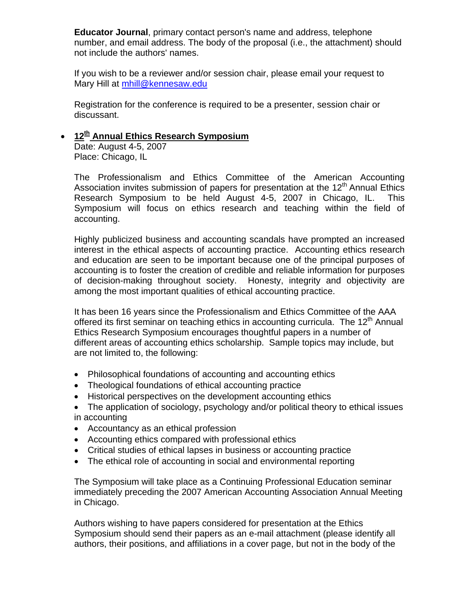<span id="page-8-0"></span>**Educator Journal**, primary contact person's name and address, telephone number, and email address. The body of the proposal (i.e., the attachment) should not include the authors' names.

If you wish to be a reviewer and/or session chair, please email your request to Mary Hill at [mhill@kennesaw.edu](mailto:mhill@kennesaw.edu)

Registration for the conference is required to be a presenter, session chair or discussant.

## • **12th Annual Ethics Research Symposium**

Date: August 4-5, 2007 Place: Chicago, IL

The Professionalism and Ethics Committee of the American Accounting Association invites submission of papers for presentation at the  $12<sup>th</sup>$  Annual Ethics Research Symposium to be held August 4-5, 2007 in Chicago, IL. This Symposium will focus on ethics research and teaching within the field of accounting.

Highly publicized business and accounting scandals have prompted an increased interest in the ethical aspects of accounting practice. Accounting ethics research and education are seen to be important because one of the principal purposes of accounting is to foster the creation of credible and reliable information for purposes of decision-making throughout society. Honesty, integrity and objectivity are among the most important qualities of ethical accounting practice.

It has been 16 years since the Professionalism and Ethics Committee of the AAA offered its first seminar on teaching ethics in accounting curricula. The 12<sup>th</sup> Annual Ethics Research Symposium encourages thoughtful papers in a number of different areas of accounting ethics scholarship. Sample topics may include, but are not limited to, the following:

- Philosophical foundations of accounting and accounting ethics
- Theological foundations of ethical accounting practice
- Historical perspectives on the development accounting ethics
- The application of sociology, psychology and/or political theory to ethical issues in accounting
- Accountancy as an ethical profession
- Accounting ethics compared with professional ethics
- Critical studies of ethical lapses in business or accounting practice
- The ethical role of accounting in social and environmental reporting

The Symposium will take place as a Continuing Professional Education seminar immediately preceding the 2007 American Accounting Association Annual Meeting in Chicago.

Authors wishing to have papers considered for presentation at the Ethics Symposium should send their papers as an e-mail attachment (please identify all authors, their positions, and affiliations in a cover page, but not in the body of the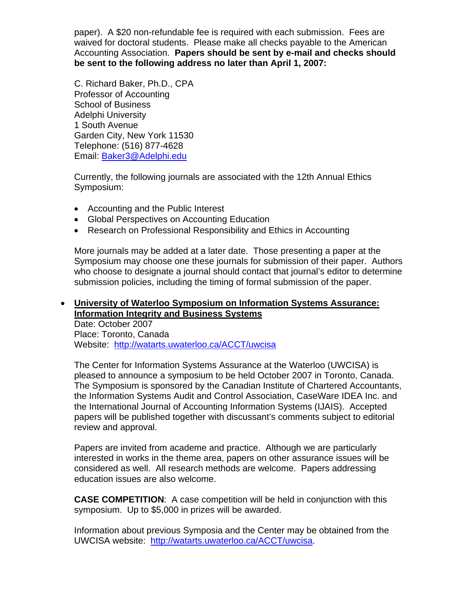<span id="page-9-0"></span>paper). A \$20 non-refundable fee is required with each submission. Fees are waived for doctoral students. Please make all checks payable to the American Accounting Association. **Papers should be sent by e-mail and checks should be sent to the following address no later than April 1, 2007:**

C. Richard Baker, Ph.D., CPA Professor of Accounting School of Business Adelphi University 1 South Avenue Garden City, New York 11530 Telephone: (516) 877-4628 Email: [Baker3@Adelphi.edu](mailto:Baker3@Adelphi.edu)

Currently, the following journals are associated with the 12th Annual Ethics Symposium:

- Accounting and the Public Interest
- Global Perspectives on Accounting Education
- Research on Professional Responsibility and Ethics in Accounting

More journals may be added at a later date. Those presenting a paper at the Symposium may choose one these journals for submission of their paper. Authors who choose to designate a journal should contact that journal's editor to determine submission policies, including the timing of formal submission of the paper.

### • **University of Waterloo Symposium on Information Systems Assurance: Information Integrity and Business Systems**

Date: October 2007 Place: Toronto, Canada Website: <http://watarts.uwaterloo.ca/ACCT/uwcisa>

The Center for Information Systems Assurance at the Waterloo (UWCISA) is pleased to announce a symposium to be held October 2007 in Toronto, Canada. The Symposium is sponsored by the Canadian Institute of Chartered Accountants, the Information Systems Audit and Control Association, CaseWare IDEA Inc. and the International Journal of Accounting Information Systems (IJAIS). Accepted papers will be published together with discussant's comments subject to editorial review and approval.

Papers are invited from academe and practice. Although we are particularly interested in works in the theme area, papers on other assurance issues will be considered as well. All research methods are welcome. Papers addressing education issues are also welcome.

**CASE COMPETITION**: A case competition will be held in conjunction with this symposium. Up to \$5,000 in prizes will be awarded.

Information about previous Symposia and the Center may be obtained from the UWCISA website: <http://watarts.uwaterloo.ca/ACCT/uwcisa>.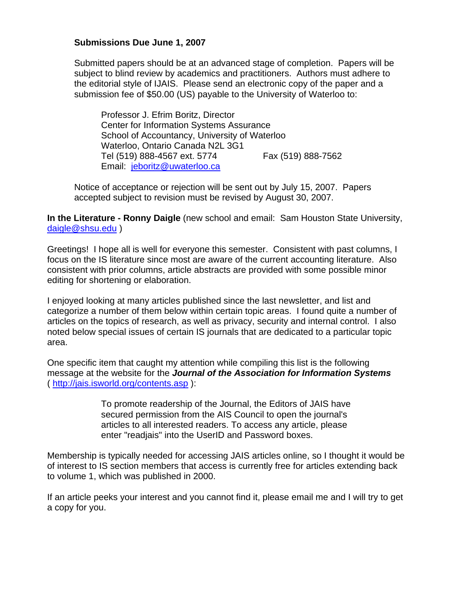## <span id="page-10-0"></span>**Submissions Due June 1, 2007**

Submitted papers should be at an advanced stage of completion. Papers will be subject to blind review by academics and practitioners. Authors must adhere to the editorial style of IJAIS. Please send an electronic copy of the paper and a submission fee of \$50.00 (US) payable to the University of Waterloo to:

 Professor J. Efrim Boritz, Director Center for Information Systems Assurance School of Accountancy, University of Waterloo Waterloo, Ontario Canada N2L 3G1 Tel (519) 888-4567 ext. 5774 Fax (519) 888-7562 Email: [jeboritz@uwaterloo.ca](mailto:jeboritz@uwaterloo.ca)

Notice of acceptance or rejection will be sent out by July 15, 2007. Papers accepted subject to revision must be revised by August 30, 2007.

**In the Literature - Ronny Daigle** (new school and email: Sam Houston State University, [daigle@shsu.edu](mailto:daigle@shsu.edu) )

Greetings! I hope all is well for everyone this semester. Consistent with past columns, I focus on the IS literature since most are aware of the current accounting literature. Also consistent with prior columns, article abstracts are provided with some possible minor editing for shortening or elaboration.

I enjoyed looking at many articles published since the last newsletter, and list and categorize a number of them below within certain topic areas. I found quite a number of articles on the topics of research, as well as privacy, security and internal control. I also noted below special issues of certain IS journals that are dedicated to a particular topic area.

One specific item that caught my attention while compiling this list is the following message at the website for the *Journal of the Association for Information Systems* (<http://jais.isworld.org/contents.asp> ):

> To promote readership of the Journal, the Editors of JAIS have secured permission from the AIS Council to open the journal's articles to all interested readers. To access any article, please enter "readjais" into the UserID and Password boxes.

Membership is typically needed for accessing JAIS articles online, so I thought it would be of interest to IS section members that access is currently free for articles extending back to volume 1, which was published in 2000.

If an article peeks your interest and you cannot find it, please email me and I will try to get a copy for you.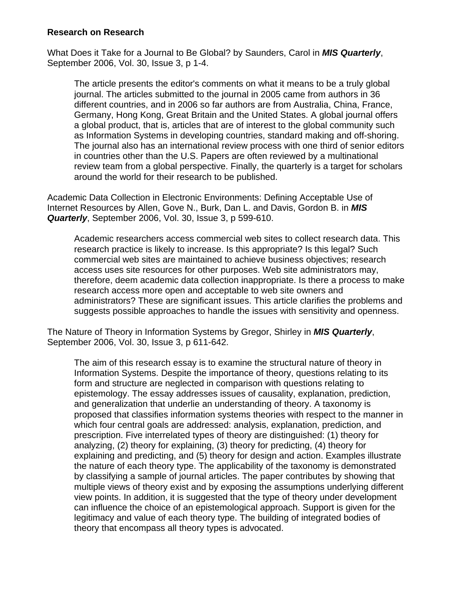#### **Research on Research**

What Does it Take for a Journal to Be Global? by Saunders, Carol in *MIS Quarterly*, September 2006, Vol. 30, Issue 3, p 1-4.

The article presents the editor's comments on what it means to be a truly global journal. The articles submitted to the journal in 2005 came from authors in 36 different countries, and in 2006 so far authors are from Australia, China, France, Germany, Hong Kong, Great Britain and the United States. A global journal offers a global product, that is, articles that are of interest to the global community such as Information Systems in developing countries, standard making and off-shoring. The journal also has an international review process with one third of senior editors in countries other than the U.S. Papers are often reviewed by a multinational review team from a global perspective. Finally, the quarterly is a target for scholars around the world for their research to be published.

Academic Data Collection in Electronic Environments: Defining Acceptable Use of Internet Resources by Allen, Gove N., Burk, Dan L. and Davis, Gordon B. in *MIS Quarterly*, September 2006, Vol. 30, Issue 3, p 599-610.

Academic researchers access commercial web sites to collect research data. This research practice is likely to increase. Is this appropriate? Is this legal? Such commercial web sites are maintained to achieve business objectives; research access uses site resources for other purposes. Web site administrators may, therefore, deem academic data collection inappropriate. Is there a process to make research access more open and acceptable to web site owners and administrators? These are significant issues. This article clarifies the problems and suggests possible approaches to handle the issues with sensitivity and openness.

The Nature of Theory in Information Systems by Gregor, Shirley in *MIS Quarterly*, September 2006, Vol. 30, Issue 3, p 611-642.

The aim of this research essay is to examine the structural nature of theory in Information Systems. Despite the importance of theory, questions relating to its form and structure are neglected in comparison with questions relating to epistemology. The essay addresses issues of causality, explanation, prediction, and generalization that underlie an understanding of theory. A taxonomy is proposed that classifies information systems theories with respect to the manner in which four central goals are addressed: analysis, explanation, prediction, and prescription. Five interrelated types of theory are distinguished: (1) theory for analyzing, (2) theory for explaining, (3) theory for predicting, (4) theory for explaining and predicting, and (5) theory for design and action. Examples illustrate the nature of each theory type. The applicability of the taxonomy is demonstrated by classifying a sample of journal articles. The paper contributes by showing that multiple views of theory exist and by exposing the assumptions underlying different view points. In addition, it is suggested that the type of theory under development can influence the choice of an epistemological approach. Support is given for the legitimacy and value of each theory type. The building of integrated bodies of theory that encompass all theory types is advocated.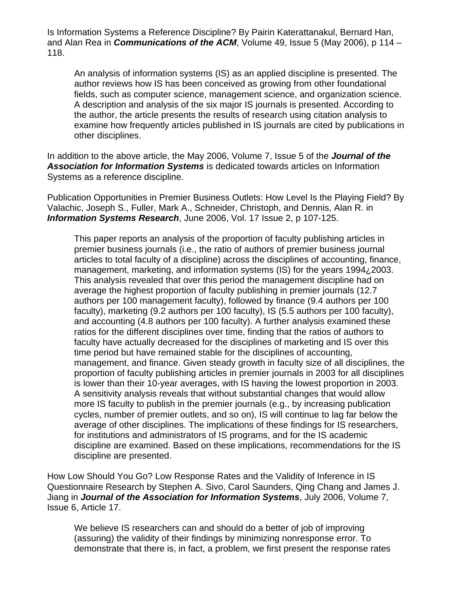Is Information Systems a Reference Discipline? By Pairin Katerattanakul, Bernard Han, and Alan Rea in *Communications of the ACM*, Volume 49, Issue 5 (May 2006), p 114 – 118.

An analysis of information systems (IS) as an applied discipline is presented. The author reviews how IS has been conceived as growing from other foundational fields, such as computer science, management science, and organization science. A description and analysis of the six major IS journals is presented. According to the author, the article presents the results of research using citation analysis to examine how frequently articles published in IS journals are cited by publications in other disciplines.

In addition to the above article, the May 2006, Volume 7, Issue 5 of the *Journal of the Association for Information Systems* is dedicated towards articles on Information Systems as a reference discipline.

Publication Opportunities in Premier Business Outlets: How Level Is the Playing Field? By Valachic, Joseph S., Fuller, Mark A., Schneider, Christoph, and Dennis, Alan R. in *Information Systems Research*, June 2006, Vol. 17 Issue 2, p 107-125.

This paper reports an analysis of the proportion of faculty publishing articles in premier business journals (i.e., the ratio of authors of premier business journal articles to total faculty of a discipline) across the disciplines of accounting, finance, management, marketing, and information systems (IS) for the years 1994; 2003. This analysis revealed that over this period the management discipline had on average the highest proportion of faculty publishing in premier journals (12.7 authors per 100 management faculty), followed by finance (9.4 authors per 100 faculty), marketing (9.2 authors per 100 faculty), IS (5.5 authors per 100 faculty), and accounting (4.8 authors per 100 faculty). A further analysis examined these ratios for the different disciplines over time, finding that the ratios of authors to faculty have actually decreased for the disciplines of marketing and IS over this time period but have remained stable for the disciplines of accounting, management, and finance. Given steady growth in faculty size of all disciplines, the proportion of faculty publishing articles in premier journals in 2003 for all disciplines is lower than their 10-year averages, with IS having the lowest proportion in 2003. A sensitivity analysis reveals that without substantial changes that would allow more IS faculty to publish in the premier journals (e.g., by increasing publication cycles, number of premier outlets, and so on), IS will continue to lag far below the average of other disciplines. The implications of these findings for IS researchers, for institutions and administrators of IS programs, and for the IS academic discipline are examined. Based on these implications, recommendations for the IS discipline are presented.

How Low Should You Go? Low Response Rates and the Validity of Inference in IS Questionnaire Research by Stephen A. Sivo, Carol Saunders, Qing Chang and James J. Jiang in *Journal of the Association for Information Systems*, July 2006, Volume 7, Issue 6, Article 17.

We believe IS researchers can and should do a better of job of improving (assuring) the validity of their findings by minimizing nonresponse error. To demonstrate that there is, in fact, a problem, we first present the response rates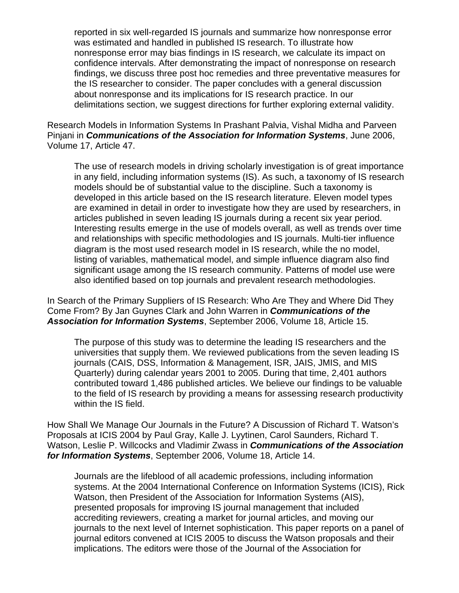reported in six well-regarded IS journals and summarize how nonresponse error was estimated and handled in published IS research. To illustrate how nonresponse error may bias findings in IS research, we calculate its impact on confidence intervals. After demonstrating the impact of nonresponse on research findings, we discuss three post hoc remedies and three preventative measures for the IS researcher to consider. The paper concludes with a general discussion about nonresponse and its implications for IS research practice. In our delimitations section, we suggest directions for further exploring external validity.

Research Models in Information Systems In Prashant Palvia, Vishal Midha and Parveen Pinjani in *Communications of the Association for Information Systems*, June 2006, Volume 17, Article 47.

The use of research models in driving scholarly investigation is of great importance in any field, including information systems (IS). As such, a taxonomy of IS research models should be of substantial value to the discipline. Such a taxonomy is developed in this article based on the IS research literature. Eleven model types are examined in detail in order to investigate how they are used by researchers, in articles published in seven leading IS journals during a recent six year period. Interesting results emerge in the use of models overall, as well as trends over time and relationships with specific methodologies and IS journals. Multi-tier influence diagram is the most used research model in IS research, while the no model, listing of variables, mathematical model, and simple influence diagram also find significant usage among the IS research community. Patterns of model use were also identified based on top journals and prevalent research methodologies.

In Search of the Primary Suppliers of IS Research: Who Are They and Where Did They Come From? By Jan Guynes Clark and John Warren in *Communications of the Association for Information Systems*, September 2006, Volume 18, Article 15.

The purpose of this study was to determine the leading IS researchers and the universities that supply them. We reviewed publications from the seven leading IS journals (CAIS, DSS, Information & Management, ISR, JAIS, JMIS, and MIS Quarterly) during calendar years 2001 to 2005. During that time, 2,401 authors contributed toward 1,486 published articles. We believe our findings to be valuable to the field of IS research by providing a means for assessing research productivity within the IS field.

How Shall We Manage Our Journals in the Future? A Discussion of Richard T. Watson's Proposals at ICIS 2004 by Paul Gray, Kalle J. Lyytinen, Carol Saunders, Richard T. Watson, Leslie P. Willcocks and Vladimir Zwass in *Communications of the Association for Information Systems*, September 2006, Volume 18, Article 14.

Journals are the lifeblood of all academic professions, including information systems. At the 2004 International Conference on Information Systems (ICIS), Rick Watson, then President of the Association for Information Systems (AIS), presented proposals for improving IS journal management that included accrediting reviewers, creating a market for journal articles, and moving our journals to the next level of Internet sophistication. This paper reports on a panel of journal editors convened at ICIS 2005 to discuss the Watson proposals and their implications. The editors were those of the Journal of the Association for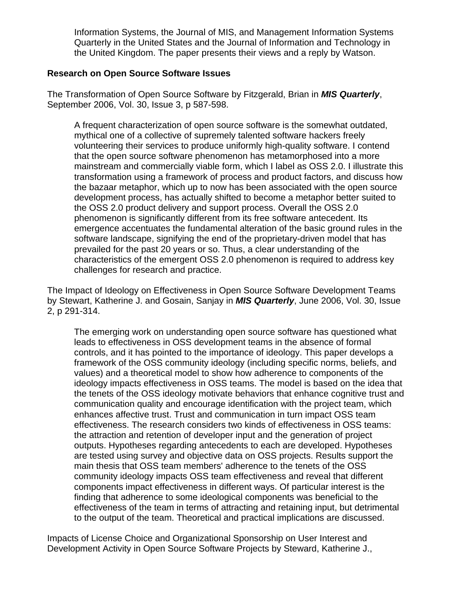Information Systems, the Journal of MIS, and Management Information Systems Quarterly in the United States and the Journal of Information and Technology in the United Kingdom. The paper presents their views and a reply by Watson.

#### **Research on Open Source Software Issues**

The Transformation of Open Source Software by Fitzgerald, Brian in *MIS Quarterly*, September 2006, Vol. 30, Issue 3, p 587-598.

A frequent characterization of open source software is the somewhat outdated, mythical one of a collective of supremely talented software hackers freely volunteering their services to produce uniformly high-quality software. I contend that the open source software phenomenon has metamorphosed into a more mainstream and commercially viable form, which I label as OSS 2.0. I illustrate this transformation using a framework of process and product factors, and discuss how the bazaar metaphor, which up to now has been associated with the open source development process, has actually shifted to become a metaphor better suited to the OSS 2.0 product delivery and support process. Overall the OSS 2.0 phenomenon is significantly different from its free software antecedent. Its emergence accentuates the fundamental alteration of the basic ground rules in the software landscape, signifying the end of the proprietary-driven model that has prevailed for the past 20 years or so. Thus, a clear understanding of the characteristics of the emergent OSS 2.0 phenomenon is required to address key challenges for research and practice.

The Impact of Ideology on Effectiveness in Open Source Software Development Teams by Stewart, Katherine J. and Gosain, Sanjay in *MIS Quarterly*, June 2006, Vol. 30, Issue 2, p 291-314.

The emerging work on understanding open source software has questioned what leads to effectiveness in OSS development teams in the absence of formal controls, and it has pointed to the importance of ideology. This paper develops a framework of the OSS community ideology (including specific norms, beliefs, and values) and a theoretical model to show how adherence to components of the ideology impacts effectiveness in OSS teams. The model is based on the idea that the tenets of the OSS ideology motivate behaviors that enhance cognitive trust and communication quality and encourage identification with the project team, which enhances affective trust. Trust and communication in turn impact OSS team effectiveness. The research considers two kinds of effectiveness in OSS teams: the attraction and retention of developer input and the generation of project outputs. Hypotheses regarding antecedents to each are developed. Hypotheses are tested using survey and objective data on OSS projects. Results support the main thesis that OSS team members' adherence to the tenets of the OSS community ideology impacts OSS team effectiveness and reveal that different components impact effectiveness in different ways. Of particular interest is the finding that adherence to some ideological components was beneficial to the effectiveness of the team in terms of attracting and retaining input, but detrimental to the output of the team. Theoretical and practical implications are discussed.

Impacts of License Choice and Organizational Sponsorship on User Interest and Development Activity in Open Source Software Projects by Steward, Katherine J.,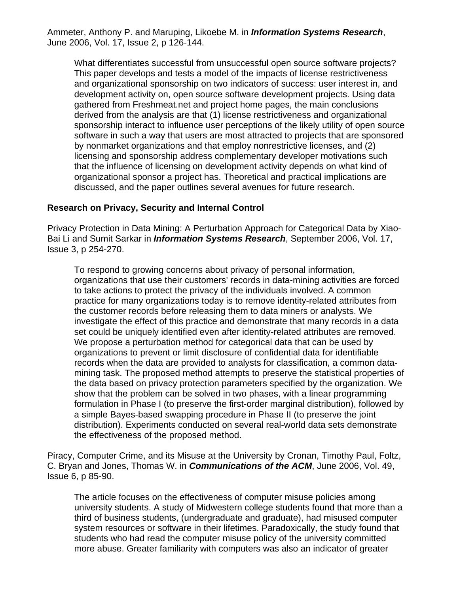Ammeter, Anthony P. and Maruping, Likoebe M. in *Information Systems Research*, June 2006, Vol. 17, Issue 2, p 126-144.

What differentiates successful from unsuccessful open source software projects? This paper develops and tests a model of the impacts of license restrictiveness and organizational sponsorship on two indicators of success: user interest in, and development activity on, open source software development projects. Using data gathered from Freshmeat.net and project home pages, the main conclusions derived from the analysis are that (1) license restrictiveness and organizational sponsorship interact to influence user perceptions of the likely utility of open source software in such a way that users are most attracted to projects that are sponsored by nonmarket organizations and that employ nonrestrictive licenses, and (2) licensing and sponsorship address complementary developer motivations such that the influence of licensing on development activity depends on what kind of organizational sponsor a project has. Theoretical and practical implications are discussed, and the paper outlines several avenues for future research.

# **Research on Privacy, Security and Internal Control**

Privacy Protection in Data Mining: A Perturbation Approach for Categorical Data by Xiao-Bai Li and Sumit Sarkar in *Information Systems Research*, September 2006, Vol. 17, Issue 3, p 254-270.

To respond to growing concerns about privacy of personal information, organizations that use their customers' records in data-mining activities are forced to take actions to protect the privacy of the individuals involved. A common practice for many organizations today is to remove identity-related attributes from the customer records before releasing them to data miners or analysts. We investigate the effect of this practice and demonstrate that many records in a data set could be uniquely identified even after identity-related attributes are removed. We propose a perturbation method for categorical data that can be used by organizations to prevent or limit disclosure of confidential data for identifiable records when the data are provided to analysts for classification, a common datamining task. The proposed method attempts to preserve the statistical properties of the data based on privacy protection parameters specified by the organization. We show that the problem can be solved in two phases, with a linear programming formulation in Phase I (to preserve the first-order marginal distribution), followed by a simple Bayes-based swapping procedure in Phase II (to preserve the joint distribution). Experiments conducted on several real-world data sets demonstrate the effectiveness of the proposed method.

Piracy, Computer Crime, and its Misuse at the University by Cronan, Timothy Paul, Foltz, C. Bryan and Jones, Thomas W. in *Communications of the ACM*, June 2006, Vol. 49, Issue 6, p 85-90.

The article focuses on the effectiveness of computer misuse policies among university students. A study of Midwestern college students found that more than a third of business students, (undergraduate and graduate), had misused computer system resources or software in their lifetimes. Paradoxically, the study found that students who had read the computer misuse policy of the university committed more abuse. Greater familiarity with computers was also an indicator of greater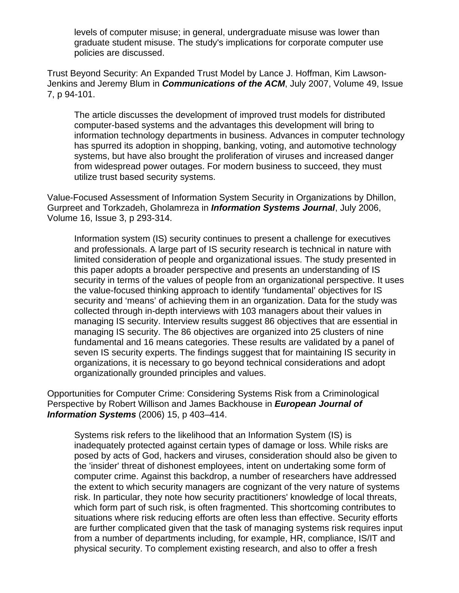levels of computer misuse; in general, undergraduate misuse was lower than graduate student misuse. The study's implications for corporate computer use policies are discussed.

Trust Beyond Security: An Expanded Trust Model by Lance J. Hoffman, Kim Lawson-Jenkins and Jeremy Blum in *Communications of the ACM*, July 2007, Volume 49, Issue 7, p 94-101.

The article discusses the development of improved trust models for distributed computer-based systems and the advantages this development will bring to information technology departments in business. Advances in computer technology has spurred its adoption in shopping, banking, voting, and automotive technology systems, but have also brought the proliferation of viruses and increased danger from widespread power outages. For modern business to succeed, they must utilize trust based security systems.

Value-Focused Assessment of Information System Security in Organizations by Dhillon, Gurpreet and Torkzadeh, Gholamreza in *Information Systems Journal*, July 2006, Volume 16, Issue 3, p 293-314.

Information system (IS) security continues to present a challenge for executives and professionals. A large part of IS security research is technical in nature with limited consideration of people and organizational issues. The study presented in this paper adopts a broader perspective and presents an understanding of IS security in terms of the values of people from an organizational perspective. It uses the value-focused thinking approach to identify 'fundamental' objectives for IS security and 'means' of achieving them in an organization. Data for the study was collected through in-depth interviews with 103 managers about their values in managing IS security. Interview results suggest 86 objectives that are essential in managing IS security. The 86 objectives are organized into 25 clusters of nine fundamental and 16 means categories. These results are validated by a panel of seven IS security experts. The findings suggest that for maintaining IS security in organizations, it is necessary to go beyond technical considerations and adopt organizationally grounded principles and values.

Opportunities for Computer Crime: Considering Systems Risk from a Criminological Perspective by Robert Willison and James Backhouse in *European Journal of Information Systems* (2006) 15, p 403–414.

Systems risk refers to the likelihood that an Information System (IS) is inadequately protected against certain types of damage or loss. While risks are posed by acts of God, hackers and viruses, consideration should also be given to the 'insider' threat of dishonest employees, intent on undertaking some form of computer crime. Against this backdrop, a number of researchers have addressed the extent to which security managers are cognizant of the very nature of systems risk. In particular, they note how security practitioners' knowledge of local threats, which form part of such risk, is often fragmented. This shortcoming contributes to situations where risk reducing efforts are often less than effective. Security efforts are further complicated given that the task of managing systems risk requires input from a number of departments including, for example, HR, compliance, IS/IT and physical security. To complement existing research, and also to offer a fresh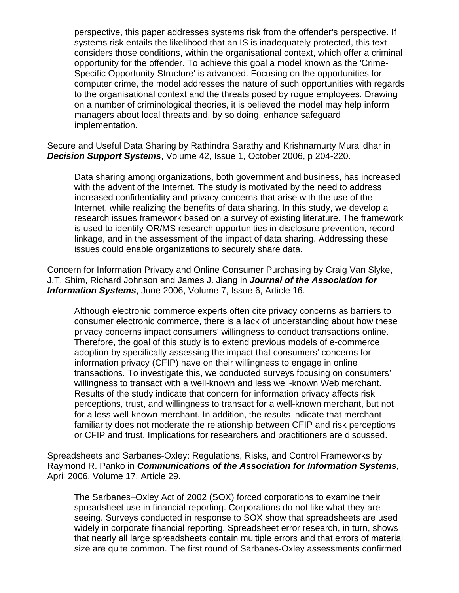perspective, this paper addresses systems risk from the offender's perspective. If systems risk entails the likelihood that an IS is inadequately protected, this text considers those conditions, within the organisational context, which offer a criminal opportunity for the offender. To achieve this goal a model known as the 'Crime-Specific Opportunity Structure' is advanced. Focusing on the opportunities for computer crime, the model addresses the nature of such opportunities with regards to the organisational context and the threats posed by rogue employees. Drawing on a number of criminological theories, it is believed the model may help inform managers about local threats and, by so doing, enhance safeguard implementation.

Secure and Useful Data Sharing by Rathindra Sarathy and Krishnamurty Muralidhar in *Decision Support Systems*, Volume 42, Issue 1, October 2006, p 204-220.

Data sharing among organizations, both government and business, has increased with the advent of the Internet. The study is motivated by the need to address increased confidentiality and privacy concerns that arise with the use of the Internet, while realizing the benefits of data sharing. In this study, we develop a research issues framework based on a survey of existing literature. The framework is used to identify OR/MS research opportunities in disclosure prevention, recordlinkage, and in the assessment of the impact of data sharing. Addressing these issues could enable organizations to securely share data.

Concern for Information Privacy and Online Consumer Purchasing by Craig Van Slyke, J.T. Shim, Richard Johnson and James J. Jiang in *Journal of the Association for Information Systems*, June 2006, Volume 7, Issue 6, Article 16.

Although electronic commerce experts often cite privacy concerns as barriers to consumer electronic commerce, there is a lack of understanding about how these privacy concerns impact consumers' willingness to conduct transactions online. Therefore, the goal of this study is to extend previous models of e-commerce adoption by specifically assessing the impact that consumers' concerns for information privacy (CFIP) have on their willingness to engage in online transactions. To investigate this, we conducted surveys focusing on consumers' willingness to transact with a well-known and less well-known Web merchant. Results of the study indicate that concern for information privacy affects risk perceptions, trust, and willingness to transact for a well-known merchant, but not for a less well-known merchant. In addition, the results indicate that merchant familiarity does not moderate the relationship between CFIP and risk perceptions or CFIP and trust. Implications for researchers and practitioners are discussed.

Spreadsheets and Sarbanes-Oxley: Regulations, Risks, and Control Frameworks by Raymond R. Panko in *Communications of the Association for Information Systems*, April 2006, Volume 17, Article 29.

The Sarbanes–Oxley Act of 2002 (SOX) forced corporations to examine their spreadsheet use in financial reporting. Corporations do not like what they are seeing. Surveys conducted in response to SOX show that spreadsheets are used widely in corporate financial reporting. Spreadsheet error research, in turn, shows that nearly all large spreadsheets contain multiple errors and that errors of material size are quite common. The first round of Sarbanes-Oxley assessments confirmed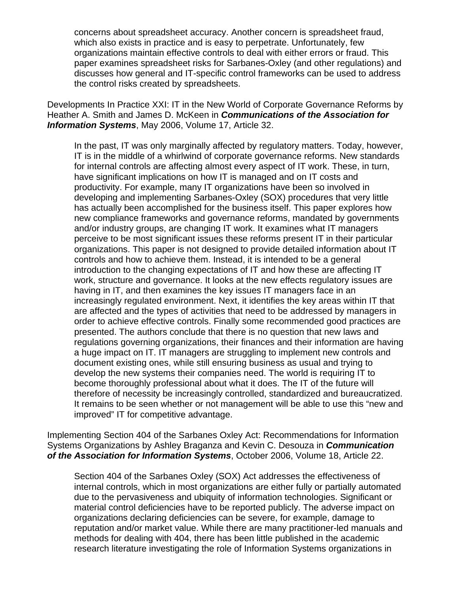concerns about spreadsheet accuracy. Another concern is spreadsheet fraud, which also exists in practice and is easy to perpetrate. Unfortunately, few organizations maintain effective controls to deal with either errors or fraud. This paper examines spreadsheet risks for Sarbanes-Oxley (and other regulations) and discusses how general and IT-specific control frameworks can be used to address the control risks created by spreadsheets.

Developments In Practice XXI: IT in the New World of Corporate Governance Reforms by Heather A. Smith and James D. McKeen in *Communications of the Association for Information Systems*, May 2006, Volume 17, Article 32.

In the past, IT was only marginally affected by regulatory matters. Today, however, IT is in the middle of a whirlwind of corporate governance reforms. New standards for internal controls are affecting almost every aspect of IT work. These, in turn, have significant implications on how IT is managed and on IT costs and productivity. For example, many IT organizations have been so involved in developing and implementing Sarbanes-Oxley (SOX) procedures that very little has actually been accomplished for the business itself. This paper explores how new compliance frameworks and governance reforms, mandated by governments and/or industry groups, are changing IT work. It examines what IT managers perceive to be most significant issues these reforms present IT in their particular organizations. This paper is not designed to provide detailed information about IT controls and how to achieve them. Instead, it is intended to be a general introduction to the changing expectations of IT and how these are affecting IT work, structure and governance. It looks at the new effects regulatory issues are having in IT, and then examines the key issues IT managers face in an increasingly regulated environment. Next, it identifies the key areas within IT that are affected and the types of activities that need to be addressed by managers in order to achieve effective controls. Finally some recommended good practices are presented. The authors conclude that there is no question that new laws and regulations governing organizations, their finances and their information are having a huge impact on IT. IT managers are struggling to implement new controls and document existing ones, while still ensuring business as usual and trying to develop the new systems their companies need. The world is requiring IT to become thoroughly professional about what it does. The IT of the future will therefore of necessity be increasingly controlled, standardized and bureaucratized. It remains to be seen whether or not management will be able to use this "new and improved" IT for competitive advantage.

Implementing Section 404 of the Sarbanes Oxley Act: Recommendations for Information Systems Organizations by Ashley Braganza and Kevin C. Desouza in *Communication of the Association for Information Systems*, October 2006, Volume 18, Article 22.

Section 404 of the Sarbanes Oxley (SOX) Act addresses the effectiveness of internal controls, which in most organizations are either fully or partially automated due to the pervasiveness and ubiquity of information technologies. Significant or material control deficiencies have to be reported publicly. The adverse impact on organizations declaring deficiencies can be severe, for example, damage to reputation and/or market value. While there are many practitioner-led manuals and methods for dealing with 404, there has been little published in the academic research literature investigating the role of Information Systems organizations in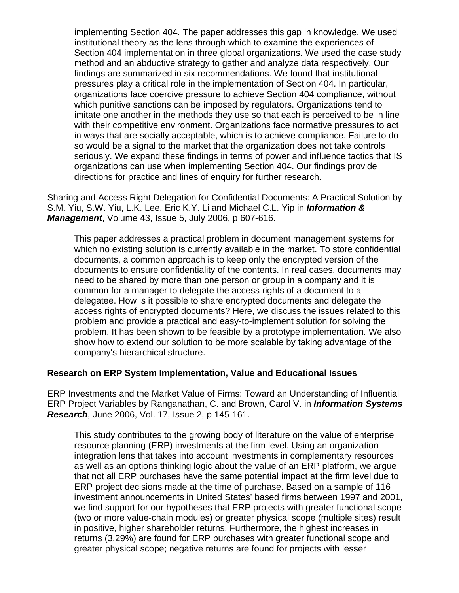implementing Section 404. The paper addresses this gap in knowledge. We used institutional theory as the lens through which to examine the experiences of Section 404 implementation in three global organizations. We used the case study method and an abductive strategy to gather and analyze data respectively. Our findings are summarized in six recommendations. We found that institutional pressures play a critical role in the implementation of Section 404. In particular, organizations face coercive pressure to achieve Section 404 compliance, without which punitive sanctions can be imposed by regulators. Organizations tend to imitate one another in the methods they use so that each is perceived to be in line with their competitive environment. Organizations face normative pressures to act in ways that are socially acceptable, which is to achieve compliance. Failure to do so would be a signal to the market that the organization does not take controls seriously. We expand these findings in terms of power and influence tactics that IS organizations can use when implementing Section 404. Our findings provide directions for practice and lines of enquiry for further research.

Sharing and Access Right Delegation for Confidential Documents: A Practical Solution by S.M. Yiu, S.W. Yiu, L.K. Lee, Eric K.Y. Li and Michael C.L. Yip in *Information & Management*, Volume 43, Issue 5, July 2006, p 607-616.

This paper addresses a practical problem in document management systems for which no existing solution is currently available in the market. To store confidential documents, a common approach is to keep only the encrypted version of the documents to ensure confidentiality of the contents. In real cases, documents may need to be shared by more than one person or group in a company and it is common for a manager to delegate the access rights of a document to a delegatee. How is it possible to share encrypted documents and delegate the access rights of encrypted documents? Here, we discuss the issues related to this problem and provide a practical and easy-to-implement solution for solving the problem. It has been shown to be feasible by a prototype implementation. We also show how to extend our solution to be more scalable by taking advantage of the company's hierarchical structure.

### **Research on ERP System Implementation, Value and Educational Issues**

ERP Investments and the Market Value of Firms: Toward an Understanding of Influential ERP Project Variables by Ranganathan, C. and Brown, Carol V. in *Information Systems Research*, June 2006, Vol. 17, Issue 2, p 145-161.

This study contributes to the growing body of literature on the value of enterprise resource planning (ERP) investments at the firm level. Using an organization integration lens that takes into account investments in complementary resources as well as an options thinking logic about the value of an ERP platform, we argue that not all ERP purchases have the same potential impact at the firm level due to ERP project decisions made at the time of purchase. Based on a sample of 116 investment announcements in United States' based firms between 1997 and 2001, we find support for our hypotheses that ERP projects with greater functional scope (two or more value-chain modules) or greater physical scope (multiple sites) result in positive, higher shareholder returns. Furthermore, the highest increases in returns (3.29%) are found for ERP purchases with greater functional scope and greater physical scope; negative returns are found for projects with lesser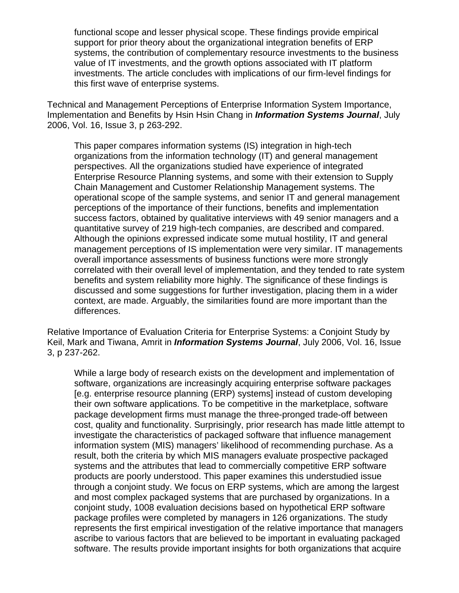functional scope and lesser physical scope. These findings provide empirical support for prior theory about the organizational integration benefits of ERP systems, the contribution of complementary resource investments to the business value of IT investments, and the growth options associated with IT platform investments. The article concludes with implications of our firm-level findings for this first wave of enterprise systems.

Technical and Management Perceptions of Enterprise Information System Importance, Implementation and Benefits by Hsin Hsin Chang in *Information Systems Journal*, July 2006, Vol. 16, Issue 3, p 263-292.

This paper compares information systems (IS) integration in high-tech organizations from the information technology (IT) and general management perspectives. All the organizations studied have experience of integrated Enterprise Resource Planning systems, and some with their extension to Supply Chain Management and Customer Relationship Management systems. The operational scope of the sample systems, and senior IT and general management perceptions of the importance of their functions, benefits and implementation success factors, obtained by qualitative interviews with 49 senior managers and a quantitative survey of 219 high-tech companies, are described and compared. Although the opinions expressed indicate some mutual hostility, IT and general management perceptions of IS implementation were very similar. IT managements overall importance assessments of business functions were more strongly correlated with their overall level of implementation, and they tended to rate system benefits and system reliability more highly. The significance of these findings is discussed and some suggestions for further investigation, placing them in a wider context, are made. Arguably, the similarities found are more important than the differences.

Relative Importance of Evaluation Criteria for Enterprise Systems: a Conjoint Study by Keil, Mark and Tiwana, Amrit in *Information Systems Journal*, July 2006, Vol. 16, Issue 3, p 237-262.

While a large body of research exists on the development and implementation of software, organizations are increasingly acquiring enterprise software packages [e.g. enterprise resource planning (ERP) systems] instead of custom developing their own software applications. To be competitive in the marketplace, software package development firms must manage the three-pronged trade-off between cost, quality and functionality. Surprisingly, prior research has made little attempt to investigate the characteristics of packaged software that influence management information system (MIS) managers' likelihood of recommending purchase. As a result, both the criteria by which MIS managers evaluate prospective packaged systems and the attributes that lead to commercially competitive ERP software products are poorly understood. This paper examines this understudied issue through a conjoint study. We focus on ERP systems, which are among the largest and most complex packaged systems that are purchased by organizations. In a conjoint study, 1008 evaluation decisions based on hypothetical ERP software package profiles were completed by managers in 126 organizations. The study represents the first empirical investigation of the relative importance that managers ascribe to various factors that are believed to be important in evaluating packaged software. The results provide important insights for both organizations that acquire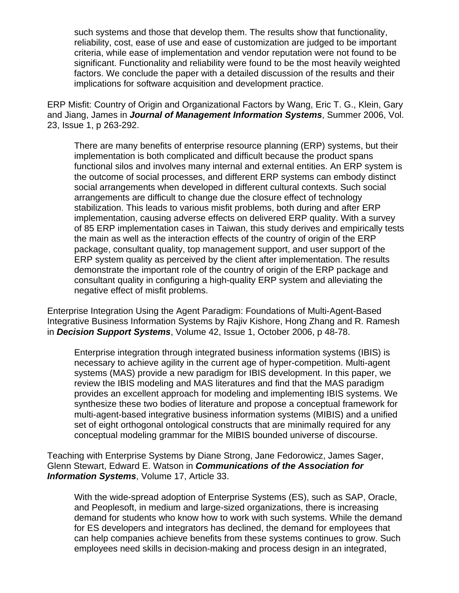such systems and those that develop them. The results show that functionality, reliability, cost, ease of use and ease of customization are judged to be important criteria, while ease of implementation and vendor reputation were not found to be significant. Functionality and reliability were found to be the most heavily weighted factors. We conclude the paper with a detailed discussion of the results and their implications for software acquisition and development practice.

ERP Misfit: Country of Origin and Organizational Factors by Wang, Eric T. G., Klein, Gary and Jiang, James in *Journal of Management Information Systems*, Summer 2006, Vol. 23, Issue 1, p 263-292.

There are many benefits of enterprise resource planning (ERP) systems, but their implementation is both complicated and difficult because the product spans functional silos and involves many internal and external entities. An ERP system is the outcome of social processes, and different ERP systems can embody distinct social arrangements when developed in different cultural contexts. Such social arrangements are difficult to change due the closure effect of technology stabilization. This leads to various misfit problems, both during and after ERP implementation, causing adverse effects on delivered ERP quality. With a survey of 85 ERP implementation cases in Taiwan, this study derives and empirically tests the main as well as the interaction effects of the country of origin of the ERP package, consultant quality, top management support, and user support of the ERP system quality as perceived by the client after implementation. The results demonstrate the important role of the country of origin of the ERP package and consultant quality in configuring a high-quality ERP system and alleviating the negative effect of misfit problems.

Enterprise Integration Using the Agent Paradigm: Foundations of Multi-Agent-Based Integrative Business Information Systems by Rajiv Kishore, Hong Zhang and R. Ramesh in *Decision Support Systems*, Volume 42, Issue 1, October 2006, p 48-78.

Enterprise integration through integrated business information systems (IBIS) is necessary to achieve agility in the current age of hyper-competition. Multi-agent systems (MAS) provide a new paradigm for IBIS development. In this paper, we review the IBIS modeling and MAS literatures and find that the MAS paradigm provides an excellent approach for modeling and implementing IBIS systems. We synthesize these two bodies of literature and propose a conceptual framework for multi-agent-based integrative business information systems (MIBIS) and a unified set of eight orthogonal ontological constructs that are minimally required for any conceptual modeling grammar for the MIBIS bounded universe of discourse.

Teaching with Enterprise Systems by Diane Strong, Jane Fedorowicz, James Sager, Glenn Stewart, Edward E. Watson in *Communications of the Association for Information Systems*, Volume 17, Article 33.

With the wide-spread adoption of Enterprise Systems (ES), such as SAP, Oracle, and Peoplesoft, in medium and large-sized organizations, there is increasing demand for students who know how to work with such systems. While the demand for ES developers and integrators has declined, the demand for employees that can help companies achieve benefits from these systems continues to grow. Such employees need skills in decision-making and process design in an integrated,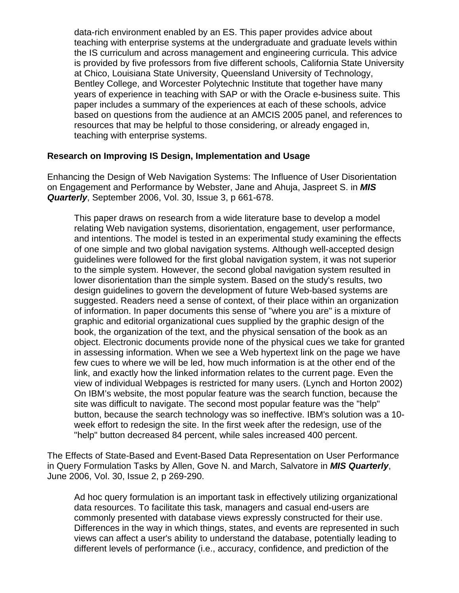data-rich environment enabled by an ES. This paper provides advice about teaching with enterprise systems at the undergraduate and graduate levels within the IS curriculum and across management and engineering curricula. This advice is provided by five professors from five different schools, California State University at Chico, Louisiana State University, Queensland University of Technology, Bentley College, and Worcester Polytechnic Institute that together have many years of experience in teaching with SAP or with the Oracle e-business suite. This paper includes a summary of the experiences at each of these schools, advice based on questions from the audience at an AMCIS 2005 panel, and references to resources that may be helpful to those considering, or already engaged in, teaching with enterprise systems.

#### **Research on Improving IS Design, Implementation and Usage**

Enhancing the Design of Web Navigation Systems: The Influence of User Disorientation on Engagement and Performance by Webster, Jane and Ahuja, Jaspreet S. in *MIS Quarterly*, September 2006, Vol. 30, Issue 3, p 661-678.

This paper draws on research from a wide literature base to develop a model relating Web navigation systems, disorientation, engagement, user performance, and intentions. The model is tested in an experimental study examining the effects of one simple and two global navigation systems. Although well-accepted design guidelines were followed for the first global navigation system, it was not superior to the simple system. However, the second global navigation system resulted in lower disorientation than the simple system. Based on the study's results, two design guidelines to govern the development of future Web-based systems are suggested. Readers need a sense of context, of their place within an organization of information. In paper documents this sense of "where you are" is a mixture of graphic and editorial organizational cues supplied by the graphic design of the book, the organization of the text, and the physical sensation of the book as an object. Electronic documents provide none of the physical cues we take for granted in assessing information. When we see a Web hypertext link on the page we have few cues to where we will be led, how much information is at the other end of the link, and exactly how the linked information relates to the current page. Even the view of individual Webpages is restricted for many users. (Lynch and Horton 2002) On IBM's website, the most popular feature was the search function, because the site was difficult to navigate. The second most popular feature was the "help" button, because the search technology was so ineffective. IBM's solution was a 10 week effort to redesign the site. In the first week after the redesign, use of the "help" button decreased 84 percent, while sales increased 400 percent.

The Effects of State-Based and Event-Based Data Representation on User Performance in Query Formulation Tasks by Allen, Gove N. and March, Salvatore in *MIS Quarterly*, June 2006, Vol. 30, Issue 2, p 269-290.

Ad hoc query formulation is an important task in effectively utilizing organizational data resources. To facilitate this task, managers and casual end-users are commonly presented with database views expressly constructed for their use. Differences in the way in which things, states, and events are represented in such views can affect a user's ability to understand the database, potentially leading to different levels of performance (i.e., accuracy, confidence, and prediction of the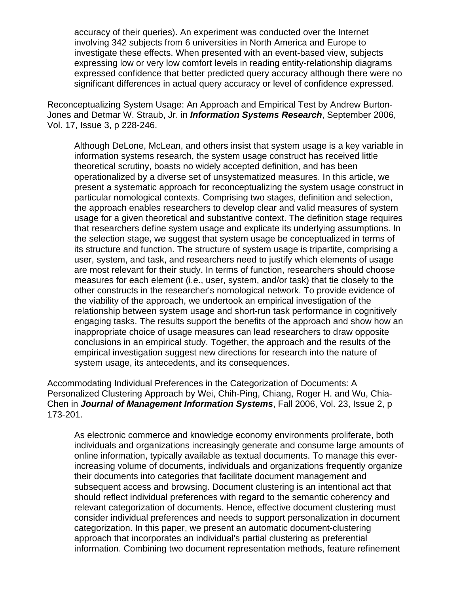accuracy of their queries). An experiment was conducted over the Internet involving 342 subjects from 6 universities in North America and Europe to investigate these effects. When presented with an event-based view, subjects expressing low or very low comfort levels in reading entity-relationship diagrams expressed confidence that better predicted query accuracy although there were no significant differences in actual query accuracy or level of confidence expressed.

Reconceptualizing System Usage: An Approach and Empirical Test by Andrew Burton-Jones and Detmar W. Straub, Jr. in *Information Systems Research*, September 2006, Vol. 17, Issue 3, p 228-246.

Although DeLone, McLean, and others insist that system usage is a key variable in information systems research, the system usage construct has received little theoretical scrutiny, boasts no widely accepted definition, and has been operationalized by a diverse set of unsystematized measures. In this article, we present a systematic approach for reconceptualizing the system usage construct in particular nomological contexts. Comprising two stages, definition and selection, the approach enables researchers to develop clear and valid measures of system usage for a given theoretical and substantive context. The definition stage requires that researchers define system usage and explicate its underlying assumptions. In the selection stage, we suggest that system usage be conceptualized in terms of its structure and function. The structure of system usage is tripartite, comprising a user, system, and task, and researchers need to justify which elements of usage are most relevant for their study. In terms of function, researchers should choose measures for each element (i.e., user, system, and/or task) that tie closely to the other constructs in the researcher's nomological network. To provide evidence of the viability of the approach, we undertook an empirical investigation of the relationship between system usage and short-run task performance in cognitively engaging tasks. The results support the benefits of the approach and show how an inappropriate choice of usage measures can lead researchers to draw opposite conclusions in an empirical study. Together, the approach and the results of the empirical investigation suggest new directions for research into the nature of system usage, its antecedents, and its consequences.

Accommodating Individual Preferences in the Categorization of Documents: A Personalized Clustering Approach by Wei, Chih-Ping, Chiang, Roger H. and Wu, Chia-Chen in *Journal of Management Information Systems*, Fall 2006, Vol. 23, Issue 2, p 173-201.

As electronic commerce and knowledge economy environments proliferate, both individuals and organizations increasingly generate and consume large amounts of online information, typically available as textual documents. To manage this everincreasing volume of documents, individuals and organizations frequently organize their documents into categories that facilitate document management and subsequent access and browsing. Document clustering is an intentional act that should reflect individual preferences with regard to the semantic coherency and relevant categorization of documents. Hence, effective document clustering must consider individual preferences and needs to support personalization in document categorization. In this paper, we present an automatic document-clustering approach that incorporates an individual's partial clustering as preferential information. Combining two document representation methods, feature refinement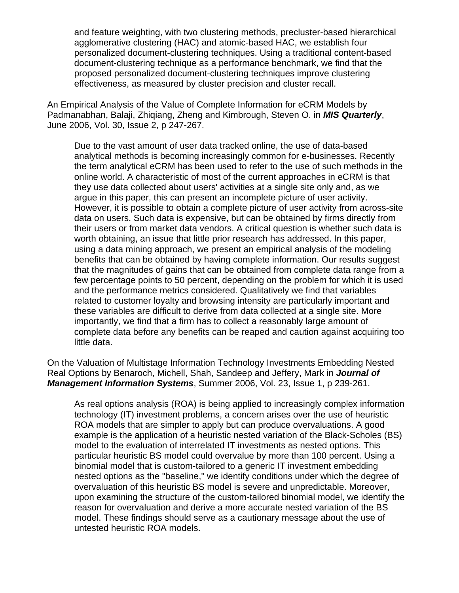and feature weighting, with two clustering methods, precluster-based hierarchical agglomerative clustering (HAC) and atomic-based HAC, we establish four personalized document-clustering techniques. Using a traditional content-based document-clustering technique as a performance benchmark, we find that the proposed personalized document-clustering techniques improve clustering effectiveness, as measured by cluster precision and cluster recall.

An Empirical Analysis of the Value of Complete Information for eCRM Models by Padmanabhan, Balaji, Zhiqiang, Zheng and Kimbrough, Steven O. in *MIS Quarterly*, June 2006, Vol. 30, Issue 2, p 247-267.

Due to the vast amount of user data tracked online, the use of data-based analytical methods is becoming increasingly common for e-businesses. Recently the term analytical eCRM has been used to refer to the use of such methods in the online world. A characteristic of most of the current approaches in eCRM is that they use data collected about users' activities at a single site only and, as we argue in this paper, this can present an incomplete picture of user activity. However, it is possible to obtain a complete picture of user activity from across-site data on users. Such data is expensive, but can be obtained by firms directly from their users or from market data vendors. A critical question is whether such data is worth obtaining, an issue that little prior research has addressed. In this paper, using a data mining approach, we present an empirical analysis of the modeling benefits that can be obtained by having complete information. Our results suggest that the magnitudes of gains that can be obtained from complete data range from a few percentage points to 50 percent, depending on the problem for which it is used and the performance metrics considered. Qualitatively we find that variables related to customer loyalty and browsing intensity are particularly important and these variables are difficult to derive from data collected at a single site. More importantly, we find that a firm has to collect a reasonably large amount of complete data before any benefits can be reaped and caution against acquiring too little data.

On the Valuation of Multistage Information Technology Investments Embedding Nested Real Options by Benaroch, Michell, Shah, Sandeep and Jeffery, Mark in *Journal of Management Information Systems*, Summer 2006, Vol. 23, Issue 1, p 239-261.

As real options analysis (ROA) is being applied to increasingly complex information technology (IT) investment problems, a concern arises over the use of heuristic ROA models that are simpler to apply but can produce overvaluations. A good example is the application of a heuristic nested variation of the Black-Scholes (BS) model to the evaluation of interrelated IT investments as nested options. This particular heuristic BS model could overvalue by more than 100 percent. Using a binomial model that is custom-tailored to a generic IT investment embedding nested options as the "baseline," we identify conditions under which the degree of overvaluation of this heuristic BS model is severe and unpredictable. Moreover, upon examining the structure of the custom-tailored binomial model, we identify the reason for overvaluation and derive a more accurate nested variation of the BS model. These findings should serve as a cautionary message about the use of untested heuristic ROA models.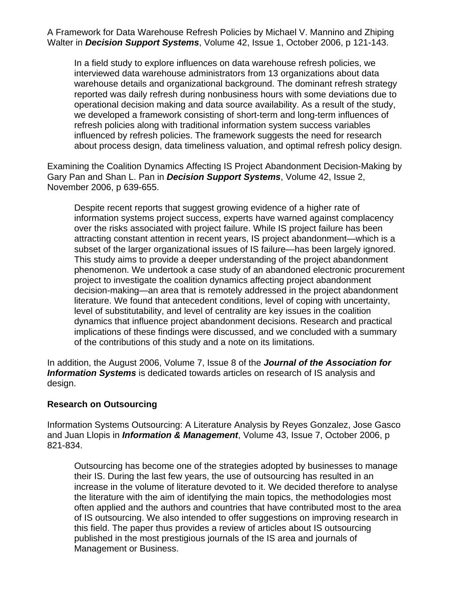A Framework for Data Warehouse Refresh Policies by Michael V. Mannino and Zhiping Walter in *Decision Support Systems*, Volume 42, Issue 1, October 2006, p 121-143.

In a field study to explore influences on data warehouse refresh policies, we interviewed data warehouse administrators from 13 organizations about data warehouse details and organizational background. The dominant refresh strategy reported was daily refresh during nonbusiness hours with some deviations due to operational decision making and data source availability. As a result of the study, we developed a framework consisting of short-term and long-term influences of refresh policies along with traditional information system success variables influenced by refresh policies. The framework suggests the need for research about process design, data timeliness valuation, and optimal refresh policy design.

Examining the Coalition Dynamics Affecting IS Project Abandonment Decision-Making by Gary Pan and Shan L. Pan in *Decision Support Systems*, Volume 42, Issue 2, November 2006, p 639-655.

Despite recent reports that suggest growing evidence of a higher rate of information systems project success, experts have warned against complacency over the risks associated with project failure. While IS project failure has been attracting constant attention in recent years, IS project abandonment—which is a subset of the larger organizational issues of IS failure—has been largely ignored. This study aims to provide a deeper understanding of the project abandonment phenomenon. We undertook a case study of an abandoned electronic procurement project to investigate the coalition dynamics affecting project abandonment decision-making—an area that is remotely addressed in the project abandonment literature. We found that antecedent conditions, level of coping with uncertainty, level of substitutability, and level of centrality are key issues in the coalition dynamics that influence project abandonment decisions. Research and practical implications of these findings were discussed, and we concluded with a summary of the contributions of this study and a note on its limitations.

In addition, the August 2006, Volume 7, Issue 8 of the *Journal of the Association for Information Systems* is dedicated towards articles on research of IS analysis and design.

#### **Research on Outsourcing**

Information Systems Outsourcing: A Literature Analysis by Reyes Gonzalez, Jose Gasco and Juan Llopis in *Information & Management*, Volume 43, Issue 7, October 2006, p 821-834.

Outsourcing has become one of the strategies adopted by businesses to manage their IS. During the last few years, the use of outsourcing has resulted in an increase in the volume of literature devoted to it. We decided therefore to analyse the literature with the aim of identifying the main topics, the methodologies most often applied and the authors and countries that have contributed most to the area of IS outsourcing. We also intended to offer suggestions on improving research in this field. The paper thus provides a review of articles about IS outsourcing published in the most prestigious journals of the IS area and journals of Management or Business.